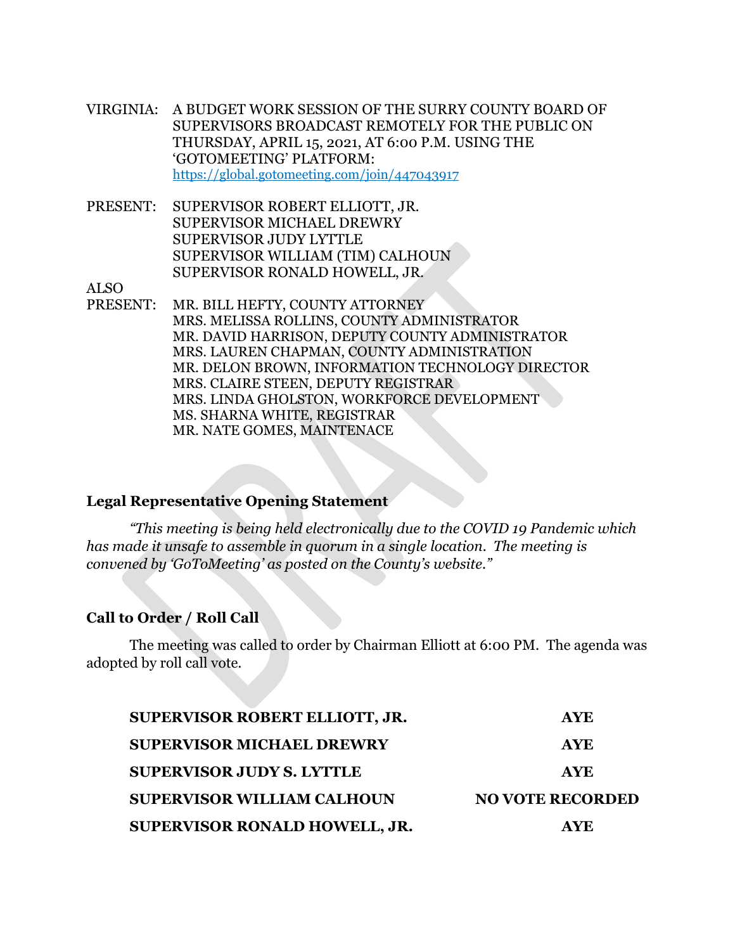- VIRGINIA: A BUDGET WORK SESSION OF THE SURRY COUNTY BOARD OF SUPERVISORS BROADCAST REMOTELY FOR THE PUBLIC ON THURSDAY, APRIL 15, 2021, AT 6:00 P.M. USING THE 'GOTOMEETING' PLATFORM: https://global.gotomeeting.com/join/447043917
- PRESENT: SUPERVISOR ROBERT ELLIOTT, JR. SUPERVISOR MICHAEL DREWRY SUPERVISOR JUDY LYTTLE SUPERVISOR WILLIAM (TIM) CALHOUN SUPERVISOR RONALD HOWELL, JR.

ALSO

PRESENT: MR. BILL HEFTY, COUNTY ATTORNEY MRS. MELISSA ROLLINS, COUNTY ADMINISTRATOR MR. DAVID HARRISON, DEPUTY COUNTY ADMINISTRATOR MRS. LAUREN CHAPMAN, COUNTY ADMINISTRATION MR. DELON BROWN, INFORMATION TECHNOLOGY DIRECTOR MRS. CLAIRE STEEN, DEPUTY REGISTRAR MRS. LINDA GHOLSTON, WORKFORCE DEVELOPMENT MS. SHARNA WHITE, REGISTRAR MR. NATE GOMES, MAINTENACE

### **Legal Representative Opening Statement**

*"This meeting is being held electronically due to the COVID 19 Pandemic which has made it unsafe to assemble in quorum in a single location. The meeting is convened by 'GoToMeeting' as posted on the County's website."* 

#### **Call to Order / Roll Call**

The meeting was called to order by Chairman Elliott at 6:00 PM. The agenda was adopted by roll call vote.

| SUPERVISOR ROBERT ELLIOTT, JR.    | <b>AYE</b>              |
|-----------------------------------|-------------------------|
| <b>SUPERVISOR MICHAEL DREWRY</b>  | <b>AYE</b>              |
| <b>SUPERVISOR JUDY S. LYTTLE</b>  | <b>AYE</b>              |
| <b>SUPERVISOR WILLIAM CALHOUN</b> | <b>NO VOTE RECORDED</b> |
| SUPERVISOR RONALD HOWELL, JR.     | <b>AYE</b>              |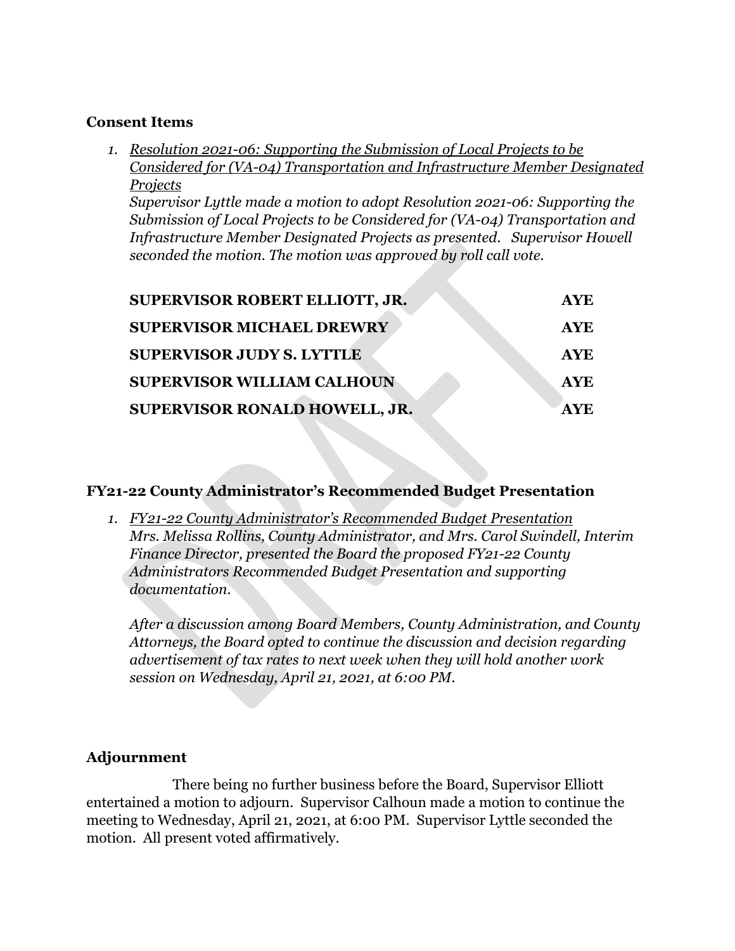## **Consent Items**

*1. Resolution 2021-06: Supporting the Submission of Local Projects to be Considered for (VA-04) Transportation and Infrastructure Member Designated Projects*

*Supervisor Lyttle made a motion to adopt Resolution 2021-06: Supporting the Submission of Local Projects to be Considered for (VA-04) Transportation and Infrastructure Member Designated Projects as presented. Supervisor Howell seconded the motion. The motion was approved by roll call vote.* 

| SUPERVISOR ROBERT ELLIOTT, JR.    | <b>AYE</b> |
|-----------------------------------|------------|
| <b>SUPERVISOR MICHAEL DREWRY</b>  | <b>AYE</b> |
| <b>SUPERVISOR JUDY S. LYTTLE</b>  | <b>AYE</b> |
| <b>SUPERVISOR WILLIAM CALHOUN</b> | <b>AYE</b> |
| SUPERVISOR RONALD HOWELL, JR.     | AVE        |

# **FY21-22 County Administrator's Recommended Budget Presentation**

*1. FY21-22 County Administrator's Recommended Budget Presentation Mrs. Melissa Rollins, County Administrator, and Mrs. Carol Swindell, Interim Finance Director, presented the Board the proposed FY21-22 County Administrators Recommended Budget Presentation and supporting documentation.* 

*After a discussion among Board Members, County Administration, and County Attorneys, the Board opted to continue the discussion and decision regarding advertisement of tax rates to next week when they will hold another work session on Wednesday, April 21, 2021, at 6:00 PM.*

# **Adjournment**

There being no further business before the Board, Supervisor Elliott entertained a motion to adjourn. Supervisor Calhoun made a motion to continue the meeting to Wednesday, April 21, 2021, at 6:00 PM. Supervisor Lyttle seconded the motion. All present voted affirmatively.